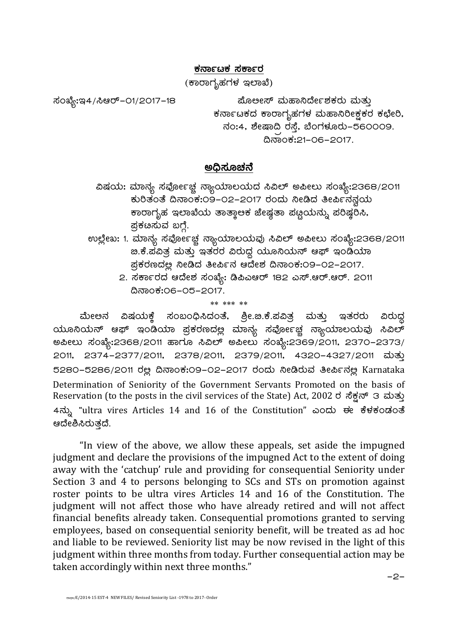## ಕರ್ನಾಟಕ ಸ**ರ್ಕಾ**ರ

(ಕಾರಾಗೃಹಗಳ ಇಲಾಖೆ)

¸ÀASÉå:E4/¹Dgï-01/2017-18 ¥ÉÆ°Ã¸ï ªÀĺÁ¤zÉÃð±ÀPÀgÀÄ ªÀÄvÀÄÛ ಕರ್ನಾಟಕದ ಕಾರಾಗೃಹಗಳ ಮಹಾನಿರೀಕ್ಷಕರ ಕಛೇರಿ,  $\pi$ ನಂ:4, ಶೇಷಾದಿ ರಸ್ತೆ, ಬೆಂಗಳೂರು–560009.  $\alpha$ ನಾಂಕ:21-06-2017.

## ಅಧಿಸೂಚನೆ

- ವಿಷಯ: ಮಾನ್ಯ ಸವೋ೯ಚ್ಚ ನ್ಯಾಯಾಲಯದ ಸಿವಿಲ್ ಅಪೀಲು ಸಂಖ್ಯೆ:2368/2011 ಕುರಿತಂತೆ ದಿನಾಂಕ:09-02-2017 ರಂದು ನೀಡಿದ ತೀರ್ಪಿನನ್ನಯ ಕಾರಾಗೃಹ ಇಲಾಖೆಯ ತಾತ್ಕಾಅಕ ಜೇಷೃತಾ ಪಟ್ಟಯನ್ನು ಪರಿಷ್ಠರಿಸಿ, ಪ್ರಕೞಸುವ ಬಗ್ಗೆ.
- ಉಲ್ಲೇಖ: 1. ಮಾನ್ಯ ಸರ್ವೋಚ್ಚ ನ್ಯಾಯಾಲಯವು ಸಿವಿಲ್ ಅಪೀಲು ಸಂಖ್ಯೆ:2368/2011 <u>. ಹೆ.ಪವಿತ್ರ ಮತ್ತು ಇತರರ ವಿರುದ್ಧ ಯೂನಿಯನ್ ಆಫ್ ಇಂಡಿಯಾ</u> ಪ್ರಕರಣದಲ್ಲ ನೀಡಿದ ತೀರ್ಪಿನ ಆದೇಶ ದಿನಾಂಕ:೦9–೦2–2017.
	- 2. ಸರ್ಕಾರದ ಆದೇಶ ಸಂಖ್ಯೆ: ಡಿಪಿಎಆರ್ 182 ಎಸ್.ಆರ್.ಆರ್. 2011 ¢£ÁAPÀ:06-05-2017.

\*\* \*\*\* \*\*

ಮೇಅನ ವಿಷಯಕ್ಕೆ ಸಂಬಂಧಿಸಿದಂತೆ, ಶ್ರೀ.ಜಿ.ಕೆ.ಪವಿತ್ರ ಮತ್ತು ಇತರರು ವಿರುದ್ಧ  $\alpha$ ಮೂನಿಯನ್ ಆಫ್ ಇಂಡಿಯಾ ಪ್ರಕರಣದಲ್ಲ ಮಾನ್ಯ ಸರ್ವೋಚ್ಚ ನ್ಯಾಯಾಲಯವು ಸಿವಿಲ್ C¦Ã®Ä ¸ÀASÉå:2368/2011 ºÁUÀÆ ¹«ï C¦Ã®Ä ¸ÀASÉå:2369/2011, 2370-2373/ 2011, 2374-2377/2011, 2378/2011, 2379/2011, 4320-4327/2011 ಮತ್ತು 5280-5286/2011 ರಲ್ಲ ದಿನಾಂಕ:09-02-2017 ರಂದು ನೀಡಿರುವ ತೀರ್ಪಿನಲ್ಲ Karnataka Determination of Seniority of the Government Servants Promoted on the basis of Reservation (to the posts in the civil services of the State) Act, 2002 ರ ಸೆಕ್ಷನ್ 3 ಮತ್ತು 4ನ್ನು "ultra vires Articles 14 and 16 of the Constitution" ಎಂದು ಈ ಕೆಳಕಂಡಂತೆ ಆದೇಶಿಸಿರುತ್ತದೆ.

"In view of the above, we allow these appeals, set aside the impugned judgment and declare the provisions of the impugned Act to the extent of doing away with the 'catchup' rule and providing for consequential Seniority under Section 3 and 4 to persons belonging to SCs and STs on promotion against roster points to be ultra vires Articles 14 and 16 of the Constitution. The judgment will not affect those who have already retired and will not affect financial benefits already taken. Consequential promotions granted to serving employees, based on consequential seniority benefit, will be treated as ad hoc and liable to be reviewed. Seniority list may be now revised in the light of this judgment within three months from today. Further consequential action may be taken accordingly within next three months."